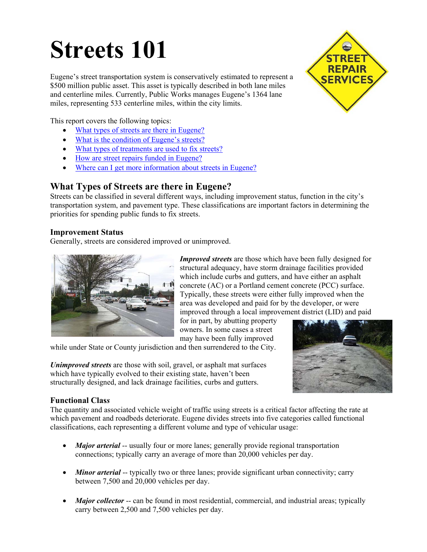# **Streets 101**

Eugene's street transportation system is conservatively estimated to represent a \$500 million public asset. This asset is typically described in both lane miles and centerline miles. Currently, Public Works manages Eugene's 1364 lane miles, representing 533 centerline miles, within the city limits.

This report covers the following topics:

- What types of streets are there in Eugene?
- [What is the condition of Eugene's streets?](#page-2-0)
- [What types of treatments are used to fix streets?](#page-2-0)
- [How are street repairs funded in Eugene?](#page-3-0)
- [Where can I get more information about streets in Eugene?](#page-5-0)

### **What Types of Streets are there in Eugene?**

Streets can be classified in several different ways, including improvement status, function in the city's transportation system, and pavement type. These classifications are important factors in determining the priorities for spending public funds to fix streets.

#### **Improvement Status**

Generally, streets are considered improved or unimproved.



*Improved streets* are those which have been fully designed for structural adequacy, have storm drainage facilities provided which include curbs and gutters, and have either an asphalt concrete (AC) or a Portland cement concrete (PCC) surface. Typically, these streets were either fully improved when the area was developed and paid for by the developer, or were improved through a local improvement district (LID) and paid

for in part, by abutting property owners. In some cases a street may have been fully improved

while under State or County jurisdiction and then surrendered to the City.

*Unimproved streets* are those with soil, gravel, or asphalt mat surfaces which have typically evolved to their existing state, haven't been structurally designed, and lack drainage facilities, curbs and gutters.



#### **Functional Clas***s*

The quantity and associated vehicle weight of traffic using streets is a critical factor affecting the rate at which pavement and roadbeds deteriorate. Eugene divides streets into five categories called functional classifications, each representing a different volume and type of vehicular usage:

- *Major arterial* -- usually four or more lanes; generally provide regional transportation connections; typically carry an average of more than 20,000 vehicles per day.
- *Minor arterial* -- typically two or three lanes; provide significant urban connectivity; carry between 7,500 and 20,000 vehicles per day.
- *Major collector* -- can be found in most residential, commercial, and industrial areas; typically carry between 2,500 and 7,500 vehicles per day.

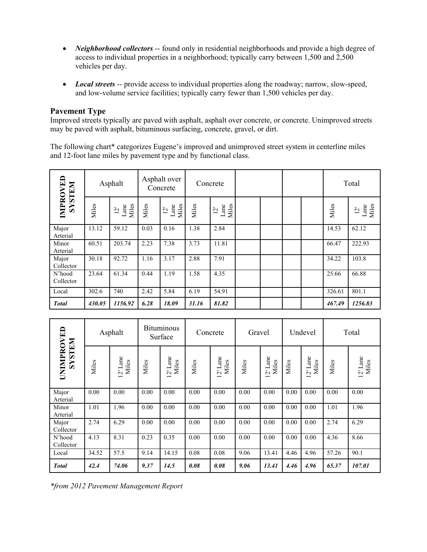- *Neighborhood collectors* -- found only in residential neighborhoods and provide a high degree of access to individual properties in a neighborhood; typically carry between 1,500 and 2,500 vehicles per day.
- *Local streets* -- provide access to individual properties along the roadway; narrow, slow-speed, and low-volume service facilities; typically carry fewer than 1,500 vehicles per day.

#### **Pavement Type**

Improved streets typically are paved with asphalt, asphalt over concrete, or concrete. Unimproved streets may be paved with asphalt, bituminous surfacing, concrete, gravel, or dirt.

The following chart\* categorizes Eugene's improved and unimproved street system in centerline miles and 12-foot lane miles by pavement type and by functional class.

| <b>IMPROVED</b><br><b>NRILSXS</b> |        | Asphalt                         |       | Asphalt over<br>Concrete<br>Concrete |       |                                 |  | Total |        |                                 |  |
|-----------------------------------|--------|---------------------------------|-------|--------------------------------------|-------|---------------------------------|--|-------|--------|---------------------------------|--|
|                                   | Miles  | Lane<br>Miles<br>$\overline{2}$ | Miles | Lane<br>Miles<br>$\overline{2}$      | Miles | Lane<br>Miles<br>$\bar{\omega}$ |  |       | Miles  | Lane<br>Miles<br>$\bar{\Sigma}$ |  |
| Major<br>Arterial                 | 13.12  | 59.12                           | 0.03  | 0.16                                 | 1.38  | 2.84                            |  |       | 14.53  | 62.12                           |  |
| Minor<br>Arterial                 | 60.51  | 203.74                          | 2.23  | 7.38                                 | 3.73  | 11.81                           |  |       | 66.47  | 222.93                          |  |
| Major<br>Collector                | 30.18  | 92.72                           | 1.16  | 3.17                                 | 2.88  | 7.91                            |  |       | 34.22  | 103.8                           |  |
| N'hood<br>Collector               | 23.64  | 61.34                           | 0.44  | 1.19                                 | 1.58  | 4.35                            |  |       | 25.66  | 66.88                           |  |
| Local                             | 302.6  | 740                             | 2.42  | 5.84                                 | 6.19  | 54.91                           |  |       | 326.61 | 801.1                           |  |
| <b>Total</b>                      | 430.05 | 1156.92                         | 6.28  | 18.09                                | 31.16 | 81.82                           |  |       | 467.49 | 1256.83                         |  |

|                                     |       | Asphalt           |       | <b>Bituminous</b><br>Surface              |       | Concrete          | Gravel |                   |       | Undevel           |       | Total                      |  |  |
|-------------------------------------|-------|-------------------|-------|-------------------------------------------|-------|-------------------|--------|-------------------|-------|-------------------|-------|----------------------------|--|--|
| <b>UNIMPROVED</b><br><b>NALISTS</b> | Miles | 12' Lane<br>Miles | Miles | ane<br>Miles<br>⊢<br>$\tilde{\mathbf{C}}$ | Miles | 12' Lane<br>Miles | Miles  | 12' Lane<br>Miles | Miles | 12' Lane<br>Miles | Miles | $12^{\circ}$ Lane<br>Miles |  |  |
| Major<br>Arterial                   | 0.00  | 0.00              | 0.00  | 0.00                                      | 0.00  | 0.00              | 0.00   | 0.00              | 0.00  | 0.00              | 0.00  | 0.00                       |  |  |
| Minor<br>Arterial                   | 1.01  | 1.96              | 0.00  | 0.00                                      | 0.00  | 0.00              | 0.00   | 0.00              | 0.00  | 0.00              | 1.01  | 1.96                       |  |  |
| Major<br>Collector                  | 2.74  | 6.29              | 0.00  | 0.00                                      | 0.00  | 0.00              | 0.00   | 0.00              | 0.00  | 0.00              | 2.74  | 6.29                       |  |  |
| N'hood<br>Collector                 | 4.13  | 8.31              | 0.23  | 0.35                                      | 0.00  | 0.00              | 0.00   | 0.00              | 0.00  | 0.00              | 4.36  | 8.66                       |  |  |
| Local                               | 34.52 | 57.5              | 9.14  | 14.15                                     | 0.08  | 0.08              | 9.06   | 13.41             | 4.46  | 4.96              | 57.26 | 90.1                       |  |  |
| <b>Total</b>                        | 42.4  | 74.06             | 9.37  | 14.5                                      | 0.08  | 0.08              | 9.06   | 13.41             | 4.46  | 4.96              | 65.37 | 107.01                     |  |  |

*\*from 2012 Pavement Management Report*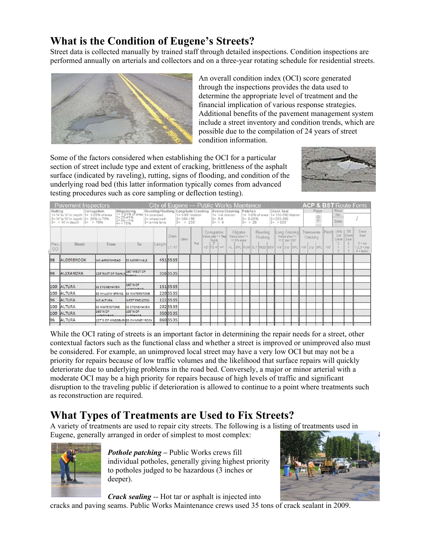## <span id="page-2-0"></span>**What is the Condition of Eugene's Streets?**

Street data is collected manually by trained staff through detailed inspections. Condition inspections are performed annually on arterials and collectors and on a three-year rotating schedule for residential streets.



An overall condition index (OCI) score generated through the inspections provides the data used to determine the appropriate level of treatment and the financial implication of various response strategies. Additional benefits of the pavement management system include a street inventory and condition trends, which are possible due to the compilation of 24 years of street condition information.

Some of the factors considered when establishing the OCI for a particular section of street include type and extent of cracking, brittleness of the asphalt surface (indicated by raveling), rutting, signs of flooding, and condition of the underlying road bed (this latter information typically comes from advanced testing procedures such as core sampling or deflection testing).



|              | <b>Pavement Inspectors</b>                                                                                              |                                                               |                                                            | <b>City of Eugene --- Public Works Maintence</b>        |                |                                                                              |     |                                    |                                                                  |                                            |                     |                                     |                      |                                             |                                   |                     |                                                                                |           |       |                                      |                                      | <b>ACP &amp; BST Route Form</b>                            |
|--------------|-------------------------------------------------------------------------------------------------------------------------|---------------------------------------------------------------|------------------------------------------------------------|---------------------------------------------------------|----------------|------------------------------------------------------------------------------|-----|------------------------------------|------------------------------------------------------------------|--------------------------------------------|---------------------|-------------------------------------|----------------------|---------------------------------------------|-----------------------------------|---------------------|--------------------------------------------------------------------------------|-----------|-------|--------------------------------------|--------------------------------------|------------------------------------------------------------|
| Rutting      | 1= 1/4" to 1/2" in depth 1= 1-25% of area<br>2= 1/2" to 3/4" in depth 2= 26% to 75%<br>$3 = 3$ %" in depth<br>$3 = 76%$ | Corrugation<br>$2 = 25 - 49%$<br>$3 = 50 - 74%$<br>$4 = 275%$ | Alligatoring Raveling/Flu<br>1= 1-24% of area 1= localized | Raveling/Flushing<br>$2$ = wheel path<br>3= entire lane |                | Longitude Cracking<br>$1 = 1 - 99'$ /station<br>$2 = 100 - 199$<br>$3 = 200$ |     |                                    | Xverse Cracking<br>$1 = 1 - 4$ /station<br>$2 = 5.9$<br>$3 = 59$ |                                            | Patches<br>$3 = 25$ | $1 = 1.5%$ of area<br>$2 = 6 - 25%$ |                      | Crack Seal<br>$2 = 200 - 300$<br>$3 = 300'$ |                                   | 1= 100-200'/station |                                                                                | Page<br>Ē |       | Rout<br>No.<br>Date                  |                                      |                                                            |
| Prev.<br>OCI | Street                                                                                                                  | From                                                          | To                                                         | Length                                                  | Drain<br>LT/RT | Other                                                                        | Rut | Comugation<br>Roots<br>$2^{\circ}$ | Value plus * = Text<br><2" TO 4" >4"                             | Alligator<br>Value plus *=<br>$<$ 10% area |                     |                                     | Raveling<br>Flushing |                                             | Value plus *=<br>$<$ 10' per 100' | Long Cracking       | Transverse<br>Cracking<br>HL SPL PUM SLT MOD SEV <4 24 SPL <4 24 SPL <4 3PL <4 |           | Patch | Utility<br>Cut<br>Crack<br>$\bar{0}$ | GB<br>Crack<br>Seal<br>$\Omega$<br>p | Crack<br>Seal<br>$0 = no$<br>$1.2.3 = yes$<br>$4 =$ failed |
| 98           | <b>ALDERBROOK</b>                                                                                                       | <b>WS ARROWHEAD</b>                                           | <b>ES MERRYVALE</b>                                        |                                                         | 4513535        |                                                                              |     |                                    |                                                                  |                                            |                     |                                     |                      |                                             |                                   |                     |                                                                                |           |       |                                      |                                      |                                                            |
| 98           | <b>ALEXANDRA</b>                                                                                                        | 126 EAST OF DAHLIA                                            | 190' WEST OF                                               |                                                         | 3163535        |                                                                              |     |                                    |                                                                  |                                            |                     |                                     |                      |                                             |                                   |                     |                                                                                |           |       |                                      |                                      |                                                            |
| 100          | <b>ALTURA</b>                                                                                                           | <b>ISS STONEHAVEN</b>                                         | 160' N OF<br>ADVELTEAD                                     |                                                         | 1313535        |                                                                              |     |                                    |                                                                  |                                            |                     |                                     |                      |                                             |                                   |                     |                                                                                |           |       |                                      |                                      |                                                            |
|              | 100 ALTURA                                                                                                              | <b>SS WILLOW SPRING ISS WATERSTONE</b>                        |                                                            |                                                         | 220 35 35      |                                                                              |     |                                    |                                                                  |                                            |                     |                                     |                      |                                             |                                   |                     |                                                                                |           |       |                                      |                                      |                                                            |
| 96           | <b>ALTURA</b>                                                                                                           | <b>MS ALTURA</b>                                              | <b>WEST END (CDS)</b>                                      |                                                         | 1223535        |                                                                              |     |                                    |                                                                  |                                            |                     |                                     |                      |                                             |                                   |                     |                                                                                |           |       |                                      |                                      |                                                            |
|              | 100 ALTURA                                                                                                              | <b>SS WATERSTONE</b>                                          | <b>55 STONEHAVEN</b>                                       |                                                         | 2023535        |                                                                              |     |                                    |                                                                  |                                            |                     |                                     |                      |                                             |                                   |                     |                                                                                |           |       |                                      |                                      |                                                            |
| 100          | <b>ALTURA</b>                                                                                                           | 160' N OF<br><b>ADVERAGAN</b>                                 | 108' N OF<br><b>CARTUARE</b>                               |                                                         | 350 3535       |                                                                              |     |                                    |                                                                  |                                            |                     |                                     |                      |                                             |                                   |                     |                                                                                |           |       |                                      |                                      |                                                            |
| 96           | <b>ALTURA</b>                                                                                                           | 127'S OF KINGSBURYSS CHIMNEY ROCK                             |                                                            |                                                         | 8603535        |                                                                              |     |                                    |                                                                  |                                            |                     |                                     |                      |                                             |                                   |                     |                                                                                |           |       |                                      |                                      |                                                            |

While the OCI rating of streets is an important factor in determining the repair needs for a street, other contextual factors such as the functional class and whether a street is improved or unimproved also must be considered. For example, an unimproved local street may have a very low OCI but may not be a priority for repairs because of low traffic volumes and the likelihood that surface repairs will quickly deteriorate due to underlying problems in the road bed. Conversely, a major or minor arterial with a moderate OCI may be a high priority for repairs because of high levels of traffic and significant disruption to the traveling public if deterioration is allowed to continue to a point where treatments such as reconstruction are required.

## **What Types of Treatments are Used to Fix Streets?**

A variety of treatments are used to repair city streets. The following is a listing of treatments used in Eugene, generally arranged in order of simplest to most complex:



*Pothole patching –* Public Works crews fill individual potholes, generally giving highest priority to potholes judged to be hazardous (3 inches or deeper).



*Crack sealing* -- Hot tar or asphalt is injected into

cracks and paving seams. Public Works Maintenance crews used 35 tons of crack sealant in 2009.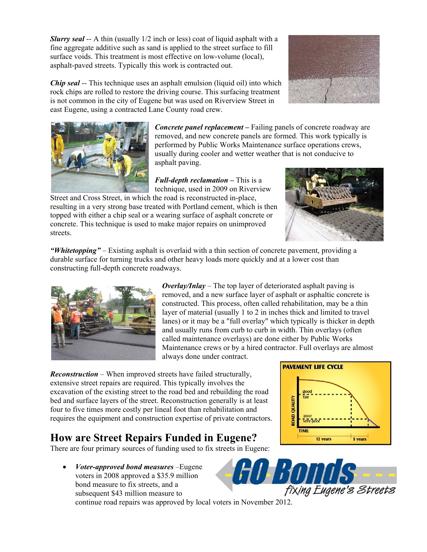<span id="page-3-0"></span>*Slurry seal* -- A thin (usually 1/2 inch or less) coat of liquid asphalt with a fine aggregate additive such as sand is applied to the street surface to fill surface voids. This treatment is most effective on low-volume (local), asphalt-paved streets. Typically this work is contracted out.



*Chip seal* -- This technique uses an asphalt emulsion (liquid oil) into which rock chips are rolled to restore the driving course. This surfacing treatment is not common in the city of Eugene but was used on Riverview Street in east Eugene, using a contracted Lane County road crew.



*Concrete panel replacement –* Failing panels of concrete roadway are removed, and new concrete panels are formed. This work typically is performed by Public Works Maintenance surface operations crews, usually during cooler and wetter weather that is not conducive to asphalt paving.

*Full-depth reclamation –* This is a technique, used in 2009 on Riverview

Street and Cross Street, in which the road is reconstructed in-place, resulting in a very strong base treated with Portland cement, which is then topped with either a chip seal or a wearing surface of asphalt concrete or concrete. This technique is used to make major repairs on unimproved streets.



*"Whitetopping"* – Existing asphalt is overlaid with a thin section of concrete pavement, providing a durable surface for turning trucks and other heavy loads more quickly and at a lower cost than constructing full-depth concrete roadways.



*Overlay/Inlay* – The top layer of deteriorated asphalt paving is removed, and a new surface layer of asphalt or asphaltic concrete is constructed. This process, often called rehabilitation, may be a thin layer of material (usually 1 to 2 in inches thick and limited to travel lanes) or it may be a "full overlay" which typically is thicker in depth and usually runs from curb to curb in width. Thin overlays (often called maintenance overlays) are done either by Public Works Maintenance crews or by a hired contractor. Full overlays are almost always done under contract.

*Reconstruction* – When improved streets have failed structurally, extensive street repairs are required. This typically involves the excavation of the existing street to the road bed and rebuilding the road bed and surface layers of the street. Reconstruction generally is at least four to five times more costly per lineal foot than rehabilitation and requires the equipment and construction expertise of private contractors.

## **How are Street Repairs Funded in Eugene?**

There are four primary sources of funding used to fix streets in Eugene:

 *Voter-approved bond measures* –Eugene voters in 2008 approved a \$35.9 million bond measure to fix streets, and a subsequent \$43 million measure to

continue road repairs was approved by local voters in November 2012.



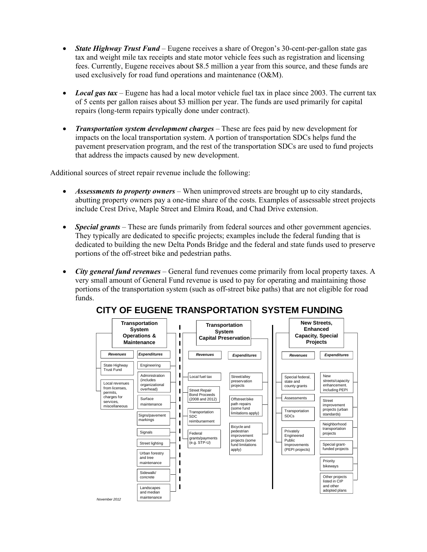- *State Highway Trust Fund* Eugene receives a share of Oregon's 30-cent-per-gallon state gas tax and weight mile tax receipts and state motor vehicle fees such as registration and licensing fees. Currently, Eugene receives about \$8.5 million a year from this source, and these funds are used exclusively for road fund operations and maintenance (O&M).
- *Local gas tax* Eugene has had a local motor vehicle fuel tax in place since 2003. The current tax of 5 cents per gallon raises about \$3 million per year. The funds are used primarily for capital repairs (long-term repairs typically done under contract).
- *Transportation system development charges* These are fees paid by new development for impacts on the local transportation system. A portion of transportation SDCs helps fund the pavement preservation program, and the rest of the transportation SDCs are used to fund projects that address the impacts caused by new development.

Additional sources of street repair revenue include the following:

- *Assessments to property owners* When unimproved streets are brought up to city standards, abutting property owners pay a one-time share of the costs. Examples of assessable street projects include Crest Drive, Maple Street and Elmira Road, and Chad Drive extension.
- **Special grants** These are funds primarily from federal sources and other government agencies. They typically are dedicated to specific projects; examples include the federal funding that is dedicated to building the new Delta Ponds Bridge and the federal and state funds used to preserve portions of the off-street bike and pedestrian paths.
- *City general fund revenues* General fund revenues come primarily from local property taxes. A very small amount of General Fund revenue is used to pay for operating and maintaining those portions of the transportation system (such as off-street bike paths) that are not eligible for road funds.



#### **CITY OF EUGENE TRANSPORTATION SYSTEM FUNDING**